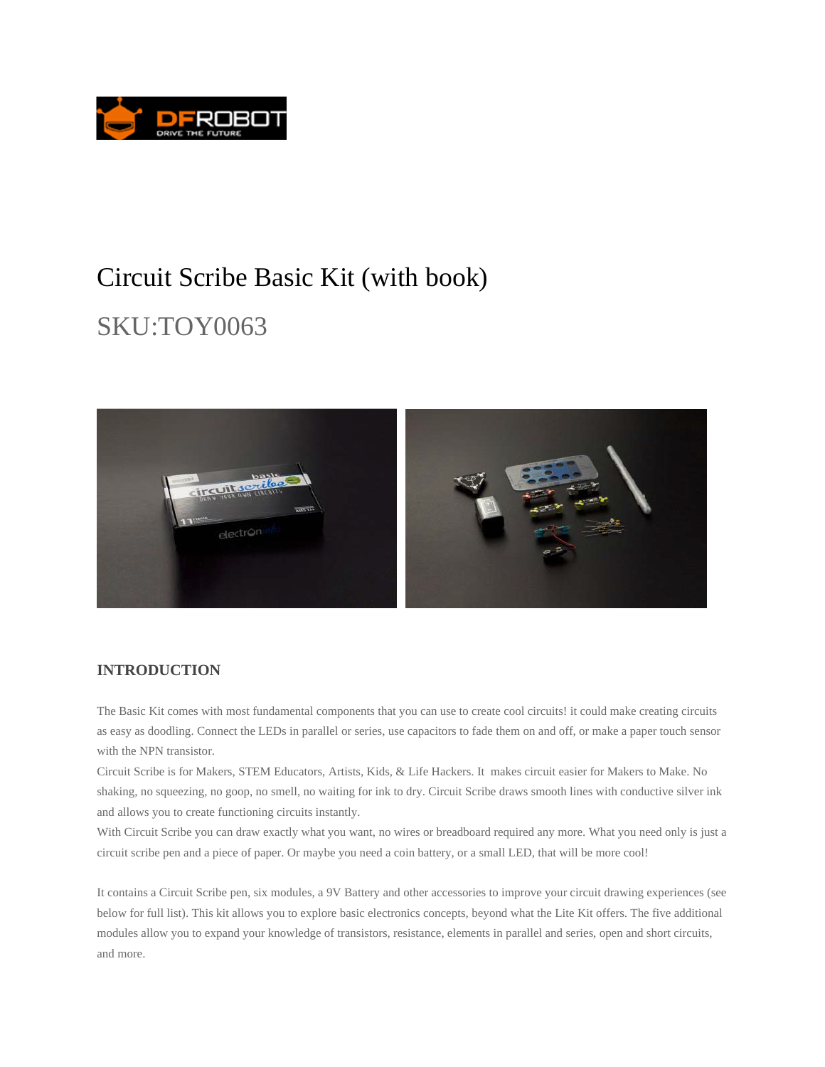

## Circuit Scribe Basic Kit (with book)

# SKU:TOY0063



### **INTRODUCTION**

The Basic Kit comes with most fundamental components that you can use to create cool circuits! it could make creating circuits as easy as doodling. Connect the LEDs in parallel or series, use capacitors to fade them on and off, or make a paper touch sensor with the NPN transistor.

Circuit Scribe is for Makers, STEM Educators, Artists, Kids, & Life Hackers. It makes circuit easier for Makers to Make. No shaking, no squeezing, no goop, no smell, no waiting for ink to dry. Circuit Scribe draws smooth lines with conductive silver ink and allows you to create functioning circuits instantly.

With Circuit Scribe you can draw exactly what you want, no wires or breadboard required any more. What you need only is just a circuit scribe pen and a piece of paper. Or maybe you need a coin battery, or a small LED, that will be more cool!

It contains a Circuit Scribe pen, six modules, a 9V Battery and other accessories to improve your circuit drawing experiences (see below for full list). This kit allows you to explore basic electronics concepts, beyond what the Lite Kit offers. The five additional modules allow you to expand your knowledge of transistors, resistance, elements in parallel and series, open and short circuits, and more.